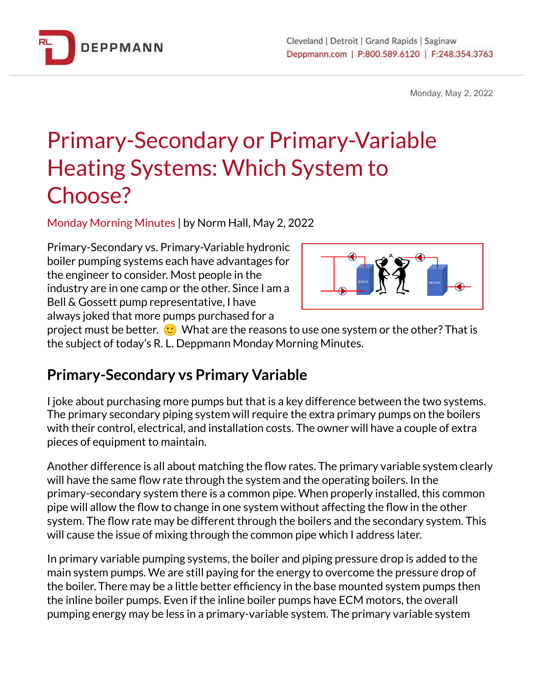

Monday, May 2, 2022

# Primary-Secondary or Primary-Variable Heating Systems: Which System to Choose?

Monday Morning Minutes | by Norm Hall, May 2, 2022

Primary-Secondary vs. Primary-Variable hydronic boiler pumping systems each have advantages for the engineer to consider. Most people in the industry are in one camp or the other. Since I am a Bell & Gossett pump representative, I have always joked that more pumps purchased for a



project must be better.  $\heartsuit$  What are the reasons to use one system or the other? That is the subject of today's R. L. Deppmann Monday Morning Minutes.

## **Primary-Secondary vs Primary Variable**

I joke about purchasing more pumps but that is a key difference between the two systems. The primary secondary piping system will require the extra primary pumps on the boilers with their control, electrical, and installation costs. The owner will have a couple of extra pieces of equipment to maintain.

Another difference is all about matching the flow rates. The primary variable system clearly will have the same flow rate through the system and the operating boilers. In the primary-secondary system there is a common pipe. When properly installed, this common pipe will allow the flow to change in one system without affecting the flow in the other system. The flow rate may be different through the boilers and the secondary system. This will cause the issue of mixing through the common pipe which I address later.

In primary variable pumping systems, the boiler and piping pressure drop is added to the main system pumps. We are still paying for the energy to overcome the pressure drop of the boiler. There may be a little better efficiency in the base mounted system pumps then the inline boiler pumps. Even if the inline boiler pumps have ECM motors, the overall pumping energy may be less in a primary-variable system. The primary variable system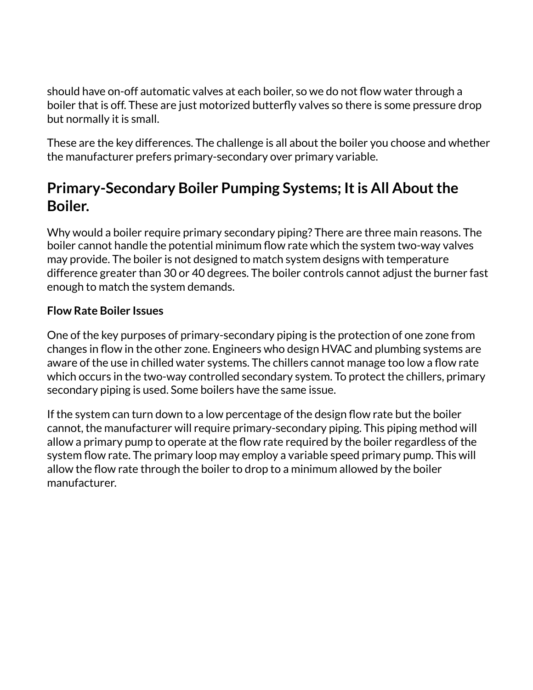should have on-off automatic valves at each boiler, so we do not flow water through a boiler that is off. These are just motorized butterfly valves so there is some pressure drop but normally it is small.

These are the key differences. The challenge is all about the boiler you choose and whether the manufacturer prefers primary-secondary over primary variable.

## **Primary-Secondary Boiler Pumping Systems; Itis All Aboutthe Boiler.**

Why would a boiler require primary secondary piping? There are three main reasons. The boiler cannot handle the potential minimum flow rate which the system two-way valves may provide. The boiler is not designed to match system designs with temperature difference greater than 30 or 40 degrees. The boiler controls cannot adjust the burner fast enough to match the system demands.

### **Flow Rate Boiler Issues**

One of the key purposes of primary-secondary piping is the protection of one zone from changes in flow in the other zone. Engineers who design HVAC and plumbing systems are aware of the use in chilled water systems. The chillers cannot manage too low a flow rate which occurs in the two-way controlled secondary system. To protect the chillers, primary secondary piping is used. Some boilers have the same issue.

If the system can turn down to a low percentage of the design flow rate but the boiler cannot, the manufacturer will require primary-secondary piping. This piping method will allow a primary pump to operate at the flow rate required by the boiler regardless of the system flow rate. The primary loop may employ a variable speed primary pump. This will allow the flow rate through the boiler to drop to a minimum allowed by the boiler manufacturer.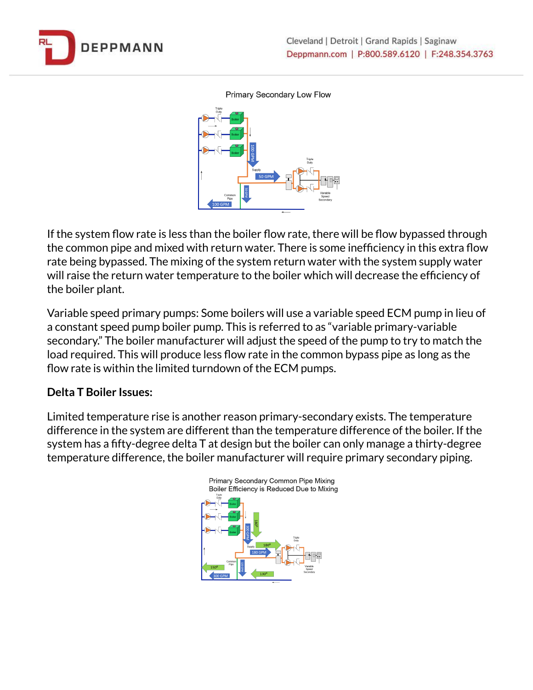

Primary Secondary Low Flow



If the system flow rate is less than the boiler flow rate, there will be flow bypassed through the common pipe and mixed with return water. There is some inefficiency in this extra flow rate being bypassed. The mixing of the system return water with the system supply water will raise the return water temperature to the boiler which will decrease the efficiency of the boiler plant.

Variable speed primary pumps: Some boilers will use a variable speed ECM pump in lieu of a constant speed pump boiler pump. This is referred to as "variable primary-variable secondary." The boiler manufacturer will adjust the speed of the pump to try to match the load required. This will produce less flow rate in the common bypass pipe as long as the flow rate is within the limited turndown of the ECM pumps.

#### **Delta T Boiler Issues:**

Limited temperature rise is another reason primary-secondary exists. The temperature difference in the system are different than the temperature difference of the boiler. If the system has a fifty-degree delta T at design but the boiler can only manage a thirty-degree temperature difference, the boiler manufacturer will require primary secondary piping.